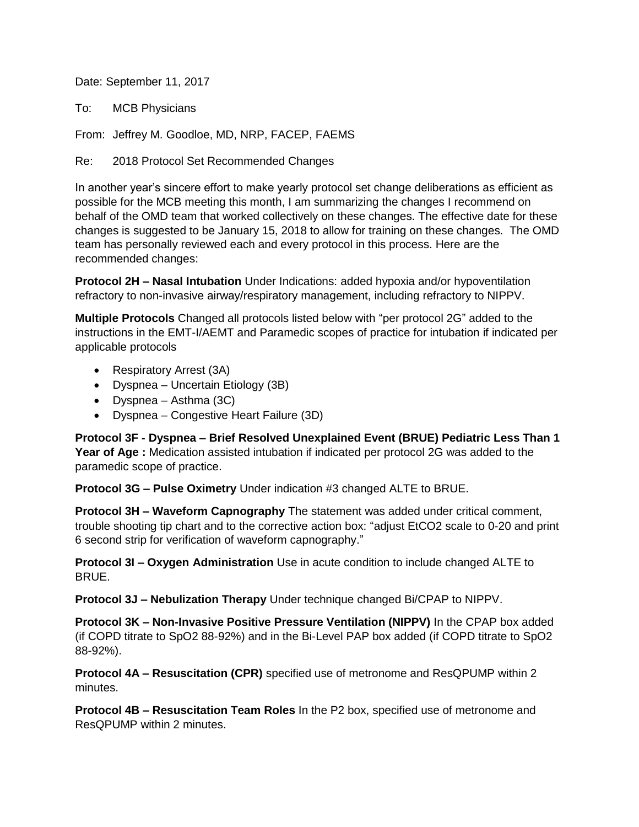Date: September 11, 2017

To: MCB Physicians

From: Jeffrey M. Goodloe, MD, NRP, FACEP, FAEMS

Re: 2018 Protocol Set Recommended Changes

In another year's sincere effort to make yearly protocol set change deliberations as efficient as possible for the MCB meeting this month, I am summarizing the changes I recommend on behalf of the OMD team that worked collectively on these changes. The effective date for these changes is suggested to be January 15, 2018 to allow for training on these changes. The OMD team has personally reviewed each and every protocol in this process. Here are the recommended changes:

**Protocol 2H – Nasal Intubation** Under Indications: added hypoxia and/or hypoventilation refractory to non-invasive airway/respiratory management, including refractory to NIPPV.

**Multiple Protocols** Changed all protocols listed below with "per protocol 2G" added to the instructions in the EMT-I/AEMT and Paramedic scopes of practice for intubation if indicated per applicable protocols

- Respiratory Arrest (3A)
- Dyspnea Uncertain Etiology (3B)
- Dyspnea Asthma (3C)
- Dyspnea Congestive Heart Failure (3D)

**Protocol 3F - Dyspnea – Brief Resolved Unexplained Event (BRUE) Pediatric Less Than 1 Year of Age :** Medication assisted intubation if indicated per protocol 2G was added to the paramedic scope of practice.

**Protocol 3G – Pulse Oximetry** Under indication #3 changed ALTE to BRUE.

**Protocol 3H – Waveform Capnography** The statement was added under critical comment, trouble shooting tip chart and to the corrective action box: "adjust EtCO2 scale to 0-20 and print 6 second strip for verification of waveform capnography."

**Protocol 3I – Oxygen Administration** Use in acute condition to include changed ALTE to BRUE.

**Protocol 3J – Nebulization Therapy** Under technique changed Bi/CPAP to NIPPV.

**Protocol 3K – Non-Invasive Positive Pressure Ventilation (NIPPV)** In the CPAP box added (if COPD titrate to SpO2 88-92%) and in the Bi-Level PAP box added (if COPD titrate to SpO2 88-92%).

**Protocol 4A – Resuscitation (CPR)** specified use of metronome and ResQPUMP within 2 minutes.

**Protocol 4B – Resuscitation Team Roles** In the P2 box, specified use of metronome and ResQPUMP within 2 minutes.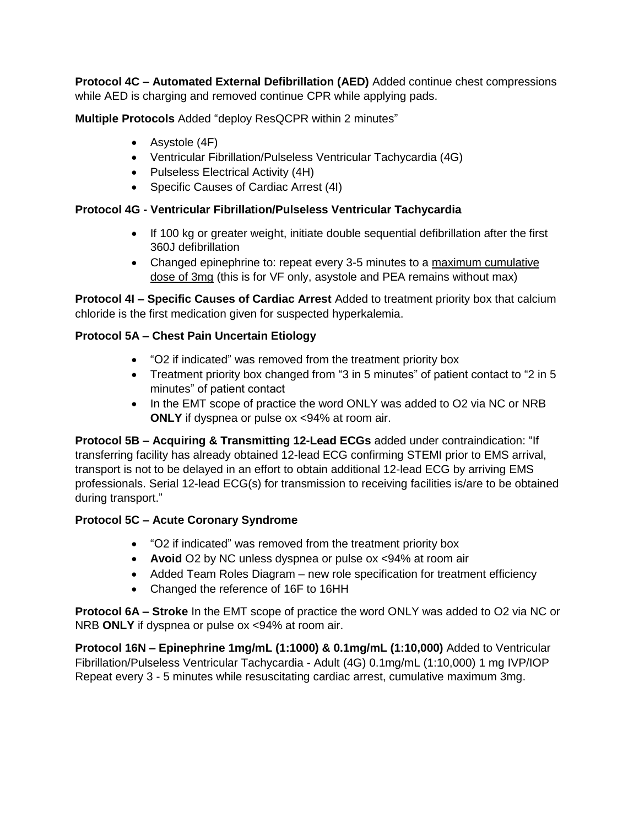**Protocol 4C – Automated External Defibrillation (AED)** Added continue chest compressions while AED is charging and removed continue CPR while applying pads.

**Multiple Protocols** Added "deploy ResQCPR within 2 minutes"

- Asystole (4F)
- Ventricular Fibrillation/Pulseless Ventricular Tachycardia (4G)
- Pulseless Electrical Activity (4H)
- Specific Causes of Cardiac Arrest (4I)

# **Protocol 4G - Ventricular Fibrillation/Pulseless Ventricular Tachycardia**

- If 100 kg or greater weight, initiate double sequential defibrillation after the first 360J defibrillation
- Changed epinephrine to: repeat every 3-5 minutes to a maximum cumulative dose of 3mg (this is for VF only, asystole and PEA remains without max)

**Protocol 4I – Specific Causes of Cardiac Arrest** Added to treatment priority box that calcium chloride is the first medication given for suspected hyperkalemia.

# **Protocol 5A – Chest Pain Uncertain Etiology**

- "O2 if indicated" was removed from the treatment priority box
- Treatment priority box changed from "3 in 5 minutes" of patient contact to "2 in 5 minutes" of patient contact
- In the EMT scope of practice the word ONLY was added to O2 via NC or NRB **ONLY** if dyspnea or pulse ox <94% at room air.

**Protocol 5B – Acquiring & Transmitting 12-Lead ECGs** added under contraindication: "If transferring facility has already obtained 12-lead ECG confirming STEMI prior to EMS arrival, transport is not to be delayed in an effort to obtain additional 12-lead ECG by arriving EMS professionals. Serial 12-lead ECG(s) for transmission to receiving facilities is/are to be obtained during transport."

## **Protocol 5C – Acute Coronary Syndrome**

- "O2 if indicated" was removed from the treatment priority box
- **Avoid** O2 by NC unless dyspnea or pulse ox <94% at room air
- Added Team Roles Diagram new role specification for treatment efficiency
- Changed the reference of 16F to 16HH

**Protocol 6A – Stroke** In the EMT scope of practice the word ONLY was added to O2 via NC or NRB **ONLY** if dyspnea or pulse ox <94% at room air.

**Protocol 16N – Epinephrine 1mg/mL (1:1000) & 0.1mg/mL (1:10,000)** Added to Ventricular Fibrillation/Pulseless Ventricular Tachycardia - Adult (4G) 0.1mg/mL (1:10,000) 1 mg IVP/IOP Repeat every 3 - 5 minutes while resuscitating cardiac arrest, cumulative maximum 3mg.